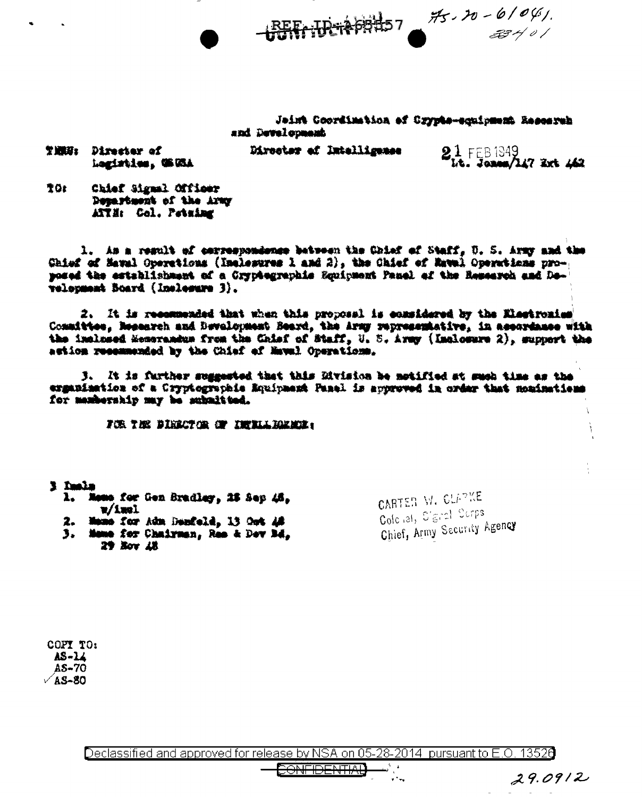$+$ BEFr:DETAPBE57 35.20-6/04/

Jaint Coordination of Crypts-equipment Resorreb and Development

THREE Director of Logistics, UK WA

Director of Intelligence

 $21$  FEB 1949<br>Let  $\frac{1049}{400}$  and  $\frac{1049}{400}$ 

TO: Chief Signal Officer Department of the Army ATTH: Col. Petuing

l. As a regult of correspondence between the Chief of Staff, U. S. Army and the Chief of Mawal Operations (Inclesures 1 and 2), the Chief of Mawal Operations proposed the establishment of a Cryptegraphis Equipment Pauel of the Research and Development Board (Inelesure 3).

2. It is recommended that when this proposal is considered by the Electronics Consittee, Research and Bevalopment Beard, the Army representative, in assordance with the inclused Memorandum from the Chief of Staff, U. S. Army (Inclosure 2), support the action resemmented by the Chief of Naval Operations.

J. It is further suggested that this Division be notified at such time as the expanisation of a Cryptographic Equipment Panel is approved in order that moninations for manhership may be submitted.

FOR THE DIRECTOR OF INCLUDENCE:

- l Imla Mons for Gen Bradley, 28 Sep 46,  $\mathbf{L}$  $\mathbf{v}/\mathbf{1}$  and  $\mathbf{I}$ 2. Mano for Adm Denfeld, 13 Oot 48
	- 3. Mame for Chairman, Res & Dev Bd. 29 Nov 18

CARTER W. CLAPKE Cold ist, C'aral Surps Chief, Army Security Agency

 $29.0912$ 

COPY TO: AS-14  $AS-70$  $\sqrt{A}S-80$ 

Declassified and approved for release by NSA on 05-28-2014 pursuant to E.O. 13526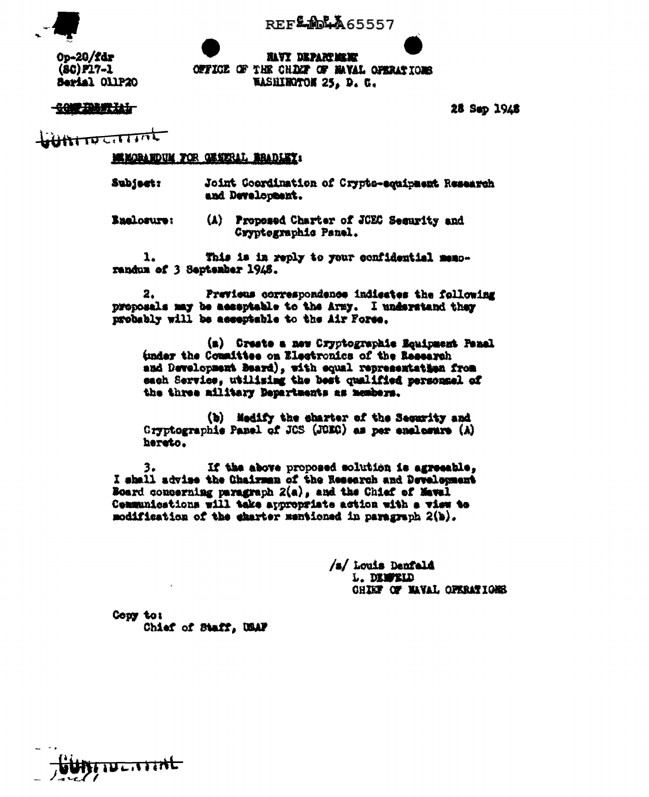**REF MA65557** 

Op-20/fdr  $(8C)$   $P17 - 1$ Serial OllP20

**JUYT DEPARTMENT** OFFICE OF THE CHARP OF MAYAL OPERATIONS **RASHIROTON 25. D. C.** 

**COP DESTRI** 

28 Sep 1948

 $H_{\text{H}}$ 

**BE MORARDUM FOR OFFICIAL READLEY:** 

- Subject: Joint Coordination of Crypto-equipment Research and Development.
- (A) Proposed Charter of JCEC Security and **Englorure:** Cryptegraphic Panel.

1. This is in reply to your confidential memorandum of 3 September 1948.

Previous correspondence indicates the following з. proposals may be acceptable to the Army. I understand they probably will be asseptable to the Air Fores.

(m) Creste a new Cryptographie Equipment Panel tunder the Committee on Electronics of the Research and Development Beard), with equal representation from sach Service, utilising the best qualified personnel of the three ailitary Departments as members.

(b) Medify the charter of the Security and Cryptographie Panel of JCS (JGEC) as per enclosure (A) hereto.

If the above proposed solution is agreeable. 3. I shall advise the Chairman of the Research and Development Board concerning paragraph 2(a), and the Chief of Maval Communications will take appropriate action with a view to modification of the charter mentioned in paragraph 2(b).

> /s/ Louis Denfald L. DEMPELD CHIEF OF MAVAL OFERATIONS

Copy to: Chief of Staff, USAF

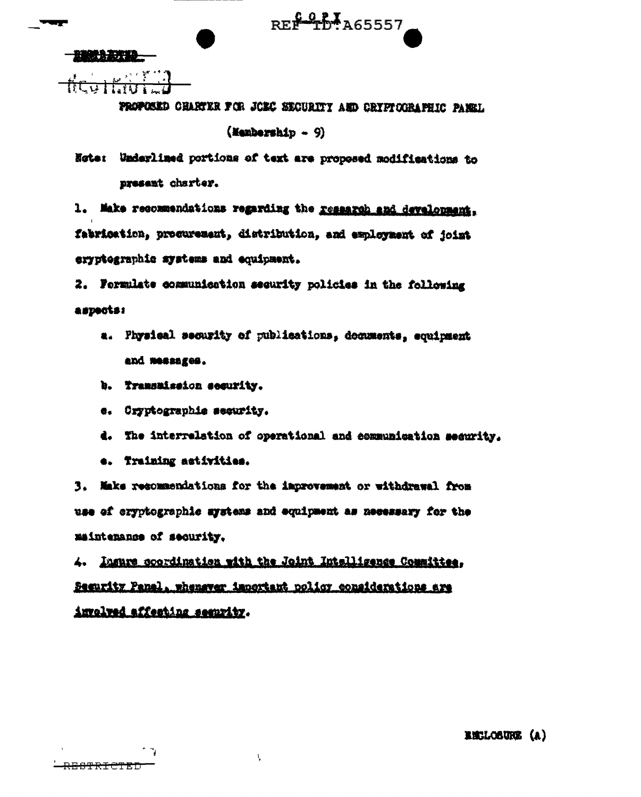PROPOSED CHARTER FOR JOBC SECURITY AND CRIPICORAPHIC PANEL

REP 10 A65557

 $($ Kembership - 9 $)$ 

Note: Underlimed portions of text are proposed modifications to present charter.

1. Make recommendations regarding the research and development, fabrication, procurement, distribution, and exployment of joint eryptographic systems and equipment.

2. Formulate communication security policies in the following aspects:

- a. Physical security of publications, decuments, equipment and messages.
- b. Tramsaission security.
- e. Cryptographie security.
- d. The interrelation of operational and communication security.
- e. Training activities.

۰,

3. Maks resommendations for the improvement or withdrawal from use of cryptographic mystems and equipment as necessary for the maintenance of security.

4. Insure coordination with the Joint Intelligence Counities. Segurity Panal, whenever important policy considerations are involved affecting seemvity.

Ą.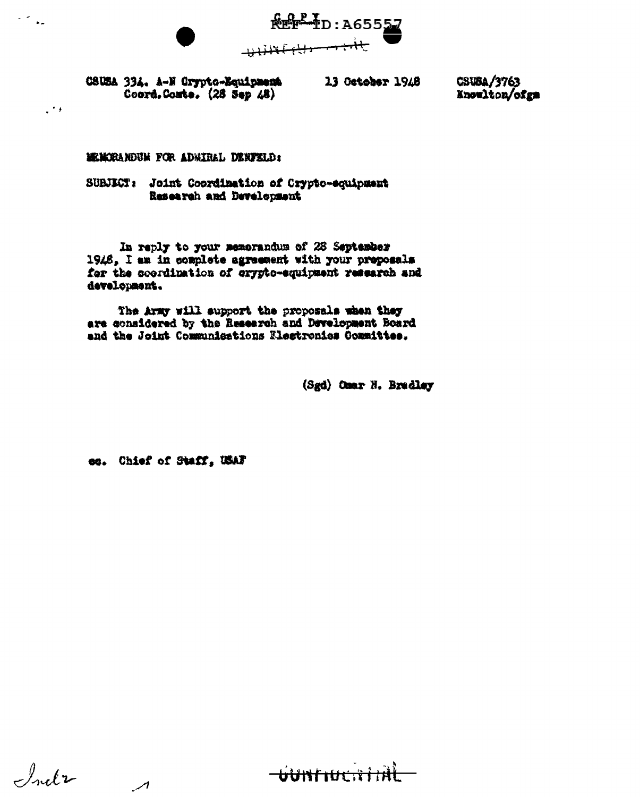**Refr 1D: A65557** 

CSUSA 334. A-M Crypto-Equipment Coord.Comte. (28 Sep 48)

 $\sim$ 

 $\ddot{\phantom{a}}$ 

13 October 1948

CSUBA/3763 Knowlton/ofgm

MEMORANDUM FOR ADMIRAL DENTELD:

SUBJECT: Joint Coordination of Crypto-squipment Research and Development

In reply to your memorandum of 28 September 1948, I am in complete agreement with your preposals for the coordination of crypto-equipment research and development.

The Army will support the proposals when they are considered by the Research and Development Board and the Joint Communications Electronics Committee.

(Sgd) Omar N. Bradley

co. Chief of Staff, USAF

 $\overline{\phantom{a}}$ 

Inda

**WALKERTHE**